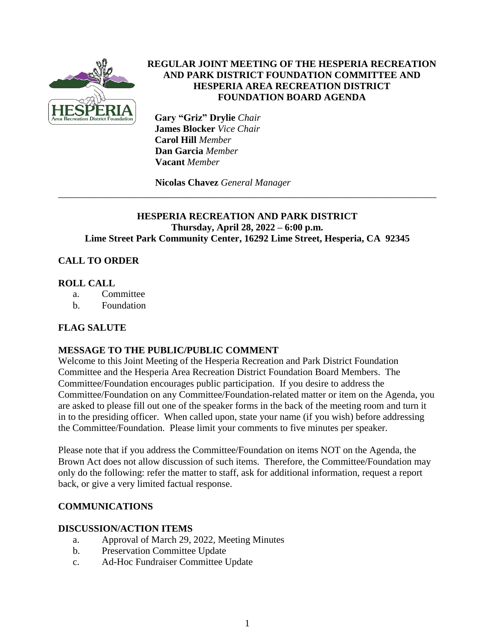

### **REGULAR JOINT MEETING OF THE HESPERIA RECREATION AND PARK DISTRICT FOUNDATION COMMITTEE AND HESPERIA AREA RECREATION DISTRICT FOUNDATION BOARD AGENDA**

 **Gary "Griz" Drylie** *Chair*  **James Blocker** *Vice Chair* **Carol Hill** *Member*  **Dan Garcia** *Member*  **Vacant** *Member*

**Nicolas Chavez** *General Manager*

### **HESPERIA RECREATION AND PARK DISTRICT Thursday, April 28, 2022 – 6:00 p.m. Lime Street Park Community Center, 16292 Lime Street, Hesperia, CA 92345**

\_\_\_\_\_\_\_\_\_\_\_\_\_\_\_\_\_\_\_\_\_\_\_\_\_\_\_\_\_\_\_\_\_\_\_\_\_\_\_\_\_\_\_\_\_\_\_\_\_\_\_\_\_\_\_\_\_\_\_\_\_\_\_\_\_\_\_\_\_\_\_\_\_\_\_\_\_\_

# **CALL TO ORDER**

#### **ROLL CALL**

- a. Committee
- b. Foundation

### **FLAG SALUTE**

### **MESSAGE TO THE PUBLIC/PUBLIC COMMENT**

Welcome to this Joint Meeting of the Hesperia Recreation and Park District Foundation Committee and the Hesperia Area Recreation District Foundation Board Members. The Committee/Foundation encourages public participation. If you desire to address the Committee/Foundation on any Committee/Foundation-related matter or item on the Agenda, you are asked to please fill out one of the speaker forms in the back of the meeting room and turn it in to the presiding officer. When called upon, state your name (if you wish) before addressing the Committee/Foundation. Please limit your comments to five minutes per speaker.

Please note that if you address the Committee/Foundation on items NOT on the Agenda, the Brown Act does not allow discussion of such items. Therefore, the Committee/Foundation may only do the following: refer the matter to staff, ask for additional information, request a report back, or give a very limited factual response.

### **COMMUNICATIONS**

#### **DISCUSSION/ACTION ITEMS**

- a. Approval of March 29, 2022, Meeting Minutes
- b. Preservation Committee Update
- c. Ad-Hoc Fundraiser Committee Update